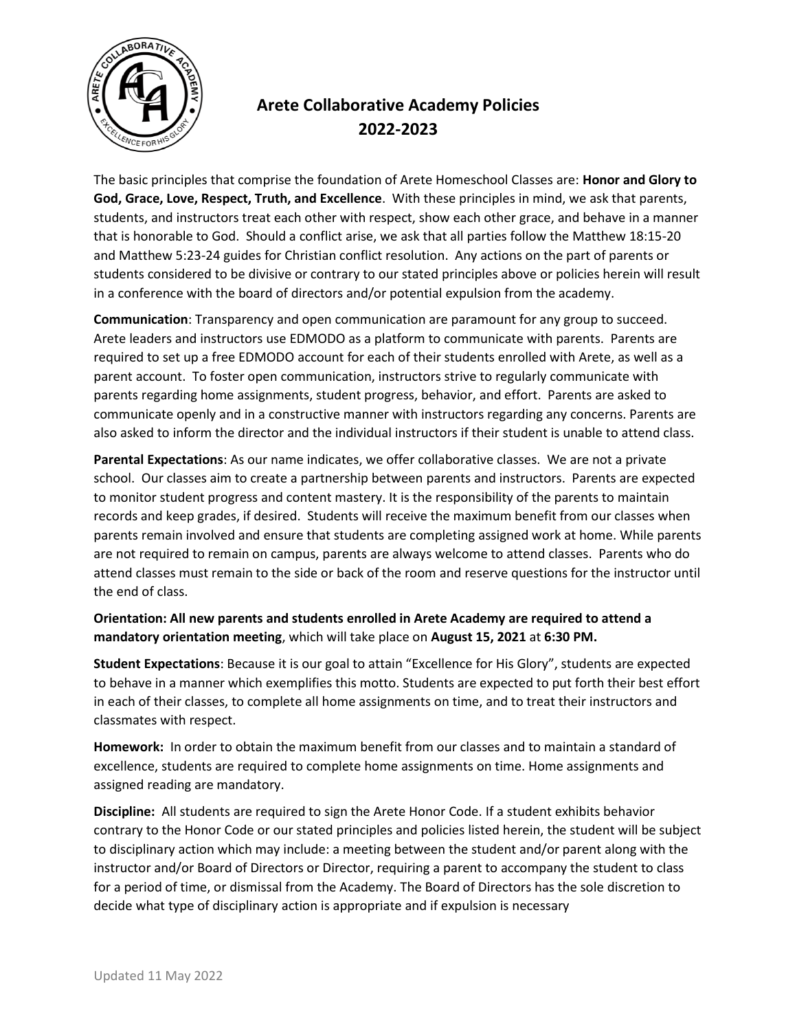

## **Arete Collaborative Academy Policies 2022-2023**

The basic principles that comprise the foundation of Arete Homeschool Classes are: **Honor and Glory to God, Grace, Love, Respect, Truth, and Excellence**. With these principles in mind, we ask that parents, students, and instructors treat each other with respect, show each other grace, and behave in a manner that is honorable to God. Should a conflict arise, we ask that all parties follow the Matthew 18:15-20 and Matthew 5:23-24 guides for Christian conflict resolution. Any actions on the part of parents or students considered to be divisive or contrary to our stated principles above or policies herein will result in a conference with the board of directors and/or potential expulsion from the academy.

**Communication**: Transparency and open communication are paramount for any group to succeed. Arete leaders and instructors use EDMODO as a platform to communicate with parents. Parents are required to set up a free EDMODO account for each of their students enrolled with Arete, as well as a parent account. To foster open communication, instructors strive to regularly communicate with parents regarding home assignments, student progress, behavior, and effort. Parents are asked to communicate openly and in a constructive manner with instructors regarding any concerns. Parents are also asked to inform the director and the individual instructors if their student is unable to attend class.

**Parental Expectations**: As our name indicates, we offer collaborative classes. We are not a private school. Our classes aim to create a partnership between parents and instructors. Parents are expected to monitor student progress and content mastery. It is the responsibility of the parents to maintain records and keep grades, if desired. Students will receive the maximum benefit from our classes when parents remain involved and ensure that students are completing assigned work at home. While parents are not required to remain on campus, parents are always welcome to attend classes. Parents who do attend classes must remain to the side or back of the room and reserve questions for the instructor until the end of class.

**Orientation: All new parents and students enrolled in Arete Academy are required to attend a mandatory orientation meeting**, which will take place on **August 15, 2021** at **6:30 PM.**

**Student Expectations**: Because it is our goal to attain "Excellence for His Glory", students are expected to behave in a manner which exemplifies this motto. Students are expected to put forth their best effort in each of their classes, to complete all home assignments on time, and to treat their instructors and classmates with respect.

**Homework:** In order to obtain the maximum benefit from our classes and to maintain a standard of excellence, students are required to complete home assignments on time. Home assignments and assigned reading are mandatory.

**Discipline:** All students are required to sign the Arete Honor Code. If a student exhibits behavior contrary to the Honor Code or our stated principles and policies listed herein, the student will be subject to disciplinary action which may include: a meeting between the student and/or parent along with the instructor and/or Board of Directors or Director, requiring a parent to accompany the student to class for a period of time, or dismissal from the Academy. The Board of Directors has the sole discretion to decide what type of disciplinary action is appropriate and if expulsion is necessary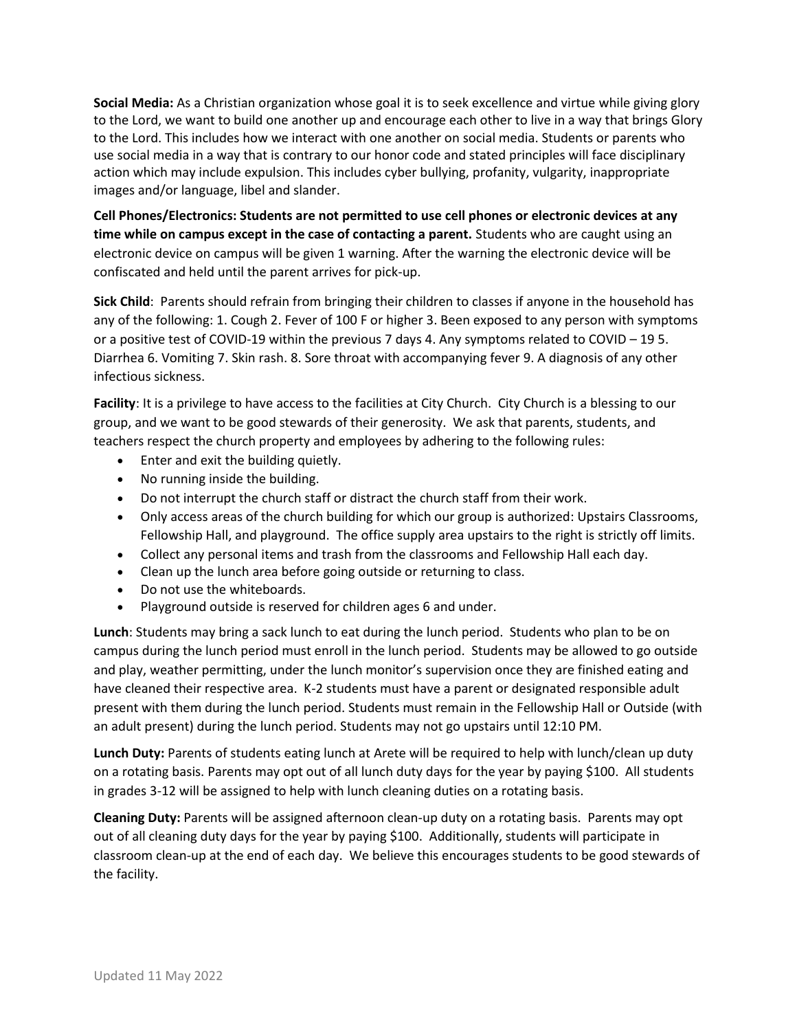**Social Media:** As a Christian organization whose goal it is to seek excellence and virtue while giving glory to the Lord, we want to build one another up and encourage each other to live in a way that brings Glory to the Lord. This includes how we interact with one another on social media. Students or parents who use social media in a way that is contrary to our honor code and stated principles will face disciplinary action which may include expulsion. This includes cyber bullying, profanity, vulgarity, inappropriate images and/or language, libel and slander.

**Cell Phones/Electronics: Students are not permitted to use cell phones or electronic devices at any time while on campus except in the case of contacting a parent.** Students who are caught using an electronic device on campus will be given 1 warning. After the warning the electronic device will be confiscated and held until the parent arrives for pick-up.

**Sick Child**: Parents should refrain from bringing their children to classes if anyone in the household has any of the following: 1. Cough 2. Fever of 100 F or higher 3. Been exposed to any person with symptoms or a positive test of COVID-19 within the previous 7 days 4. Any symptoms related to COVID – 19 5. Diarrhea 6. Vomiting 7. Skin rash. 8. Sore throat with accompanying fever 9. A diagnosis of any other infectious sickness.

**Facility**: It is a privilege to have access to the facilities at City Church. City Church is a blessing to our group, and we want to be good stewards of their generosity. We ask that parents, students, and teachers respect the church property and employees by adhering to the following rules:

- Enter and exit the building quietly.
- No running inside the building.
- Do not interrupt the church staff or distract the church staff from their work.
- Only access areas of the church building for which our group is authorized: Upstairs Classrooms, Fellowship Hall, and playground. The office supply area upstairs to the right is strictly off limits.
- Collect any personal items and trash from the classrooms and Fellowship Hall each day.
- Clean up the lunch area before going outside or returning to class.
- Do not use the whiteboards.
- Playground outside is reserved for children ages 6 and under.

**Lunch**: Students may bring a sack lunch to eat during the lunch period. Students who plan to be on campus during the lunch period must enroll in the lunch period. Students may be allowed to go outside and play, weather permitting, under the lunch monitor's supervision once they are finished eating and have cleaned their respective area. K-2 students must have a parent or designated responsible adult present with them during the lunch period. Students must remain in the Fellowship Hall or Outside (with an adult present) during the lunch period. Students may not go upstairs until 12:10 PM.

**Lunch Duty:** Parents of students eating lunch at Arete will be required to help with lunch/clean up duty on a rotating basis. Parents may opt out of all lunch duty days for the year by paying \$100. All students in grades 3-12 will be assigned to help with lunch cleaning duties on a rotating basis.

**Cleaning Duty:** Parents will be assigned afternoon clean-up duty on a rotating basis. Parents may opt out of all cleaning duty days for the year by paying \$100. Additionally, students will participate in classroom clean-up at the end of each day. We believe this encourages students to be good stewards of the facility.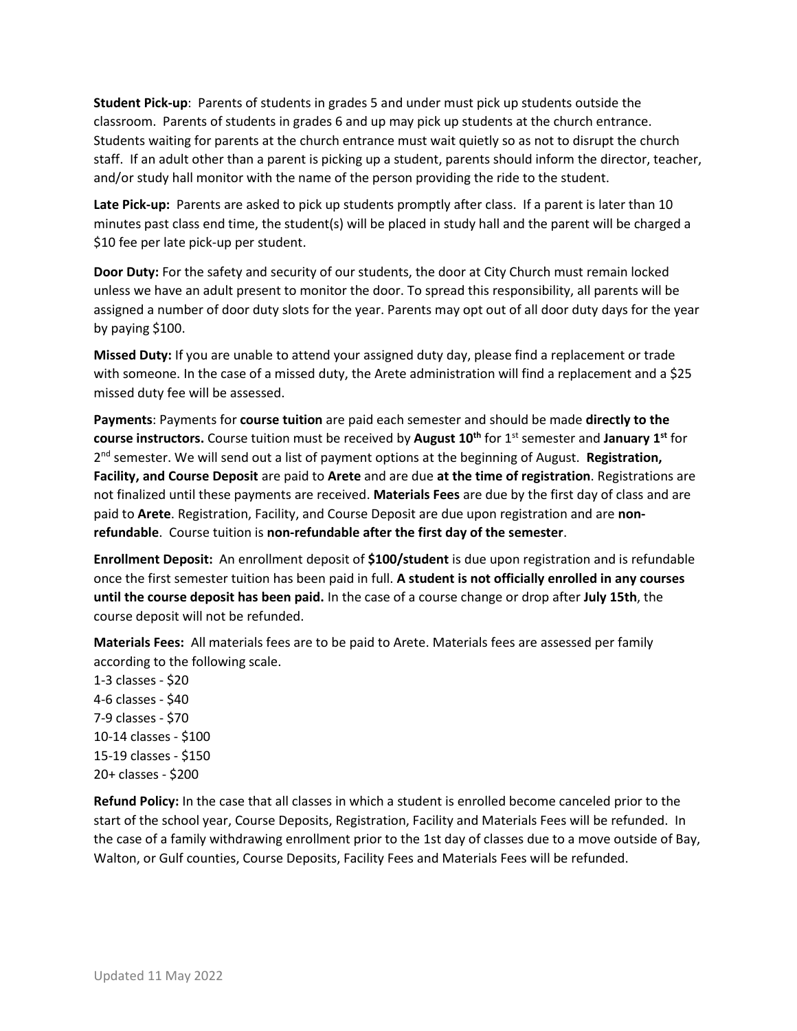**Student Pick-up**: Parents of students in grades 5 and under must pick up students outside the classroom. Parents of students in grades 6 and up may pick up students at the church entrance. Students waiting for parents at the church entrance must wait quietly so as not to disrupt the church staff. If an adult other than a parent is picking up a student, parents should inform the director, teacher, and/or study hall monitor with the name of the person providing the ride to the student.

**Late Pick-up:** Parents are asked to pick up students promptly after class. If a parent is later than 10 minutes past class end time, the student(s) will be placed in study hall and the parent will be charged a \$10 fee per late pick-up per student.

**Door Duty:** For the safety and security of our students, the door at City Church must remain locked unless we have an adult present to monitor the door. To spread this responsibility, all parents will be assigned a number of door duty slots for the year. Parents may opt out of all door duty days for the year by paying \$100.

**Missed Duty:** If you are unable to attend your assigned duty day, please find a replacement or trade with someone. In the case of a missed duty, the Arete administration will find a replacement and a \$25 missed duty fee will be assessed.

**Payments**: Payments for **course tuition** are paid each semester and should be made **directly to the course instructors.** Course tuition must be received by **August 10th** for 1st semester and **January 1st** for 2 nd semester. We will send out a list of payment options at the beginning of August. **Registration, Facility, and Course Deposit** are paid to **Arete** and are due **at the time of registration**. Registrations are not finalized until these payments are received. **Materials Fees** are due by the first day of class and are paid to **Arete**. Registration, Facility, and Course Deposit are due upon registration and are **nonrefundable**. Course tuition is **non-refundable after the first day of the semester**.

**Enrollment Deposit:** An enrollment deposit of **\$100/student** is due upon registration and is refundable once the first semester tuition has been paid in full. **A student is not officially enrolled in any courses until the course deposit has been paid.** In the case of a course change or drop after **July 15th**, the course deposit will not be refunded.

**Materials Fees:** All materials fees are to be paid to Arete. Materials fees are assessed per family according to the following scale.

1-3 classes - \$20 4-6 classes - \$40 7-9 classes - \$70 10-14 classes - \$100 15-19 classes - \$150 20+ classes - \$200

**Refund Policy:** In the case that all classes in which a student is enrolled become canceled prior to the start of the school year, Course Deposits, Registration, Facility and Materials Fees will be refunded. In the case of a family withdrawing enrollment prior to the 1st day of classes due to a move outside of Bay, Walton, or Gulf counties, Course Deposits, Facility Fees and Materials Fees will be refunded.